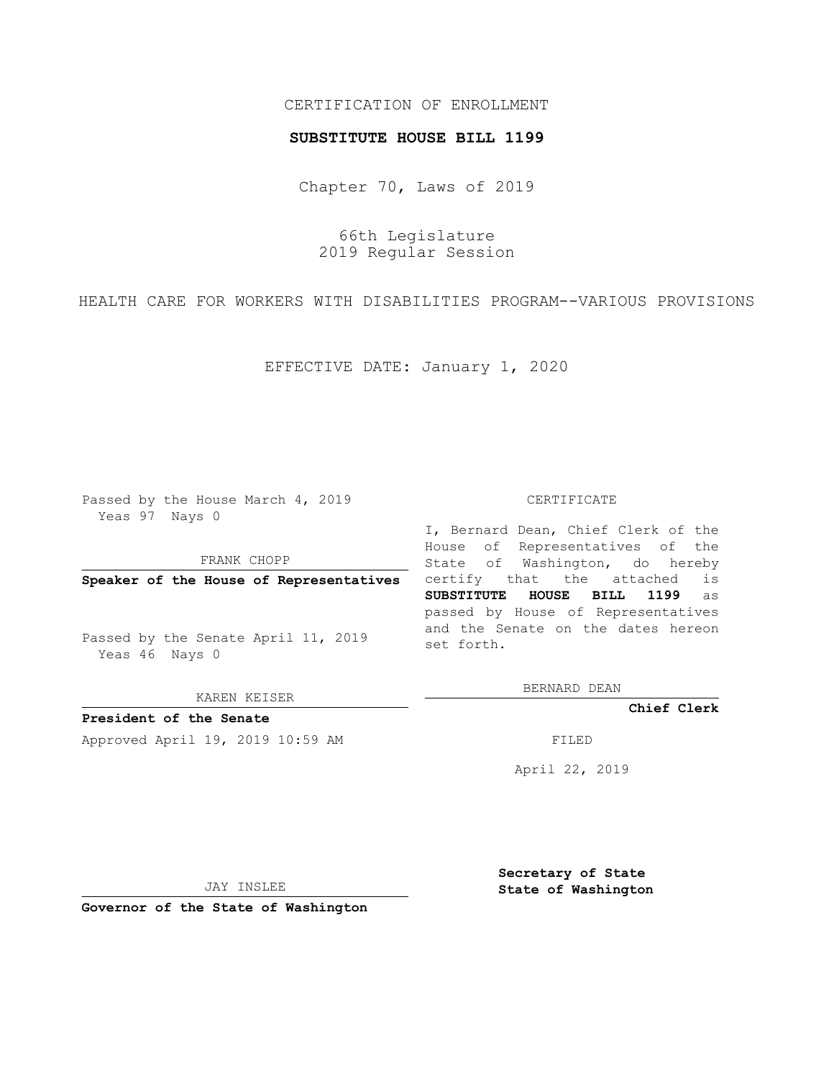## CERTIFICATION OF ENROLLMENT

#### **SUBSTITUTE HOUSE BILL 1199**

Chapter 70, Laws of 2019

66th Legislature 2019 Regular Session

HEALTH CARE FOR WORKERS WITH DISABILITIES PROGRAM--VARIOUS PROVISIONS

EFFECTIVE DATE: January 1, 2020

Passed by the House March 4, 2019 Yeas 97 Nays 0

FRANK CHOPP

**Speaker of the House of Representatives**

Passed by the Senate April 11, 2019 Yeas 46 Nays 0

KAREN KEISER

**President of the Senate**

Approved April 19, 2019 10:59 AM FILED

#### CERTIFICATE

I, Bernard Dean, Chief Clerk of the House of Representatives of the State of Washington, do hereby certify that the attached is **SUBSTITUTE HOUSE BILL 1199** as passed by House of Representatives and the Senate on the dates hereon set forth.

BERNARD DEAN

**Chief Clerk**

April 22, 2019

JAY INSLEE

**Governor of the State of Washington**

**Secretary of State State of Washington**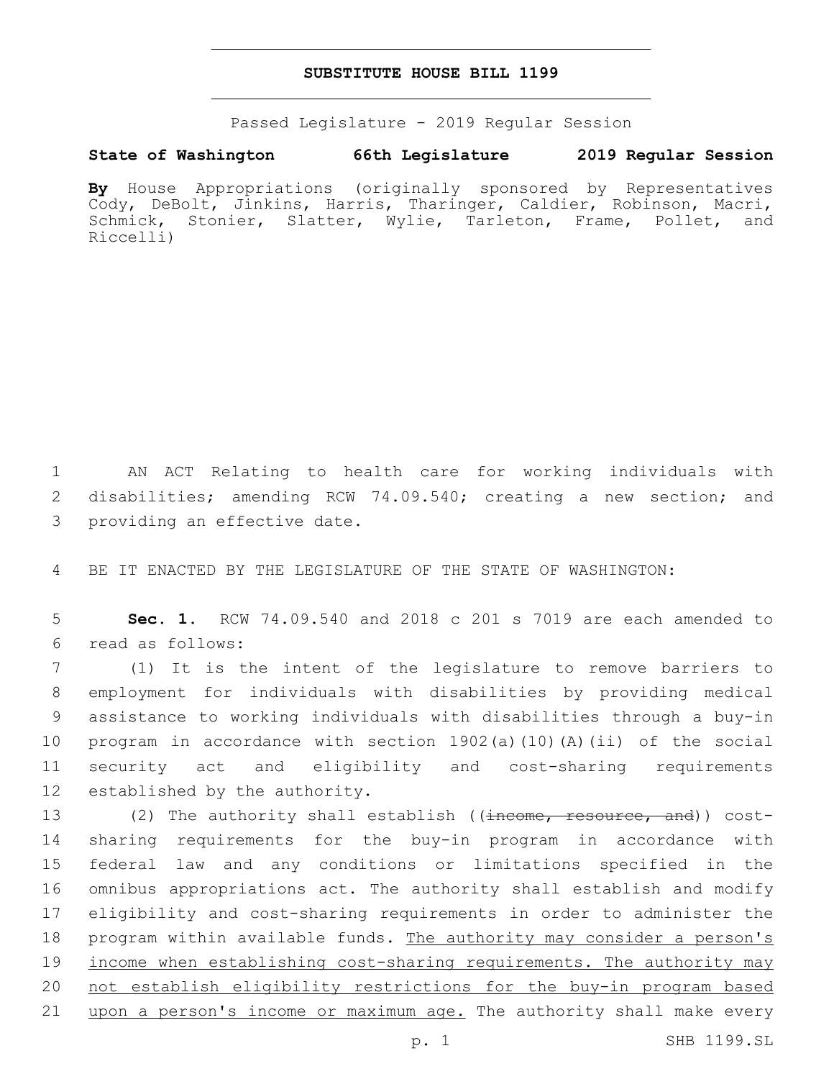### **SUBSTITUTE HOUSE BILL 1199**

Passed Legislature - 2019 Regular Session

# **State of Washington 66th Legislature 2019 Regular Session**

**By** House Appropriations (originally sponsored by Representatives Cody, DeBolt, Jinkins, Harris, Tharinger, Caldier, Robinson, Macri, Schmick, Stonier, Slatter, Wylie, Tarleton, Frame, Pollet, and Riccelli)

1 AN ACT Relating to health care for working individuals with 2 disabilities; amending RCW 74.09.540; creating a new section; and 3 providing an effective date.

4 BE IT ENACTED BY THE LEGISLATURE OF THE STATE OF WASHINGTON:

5 **Sec. 1.** RCW 74.09.540 and 2018 c 201 s 7019 are each amended to read as follows:6

 (1) It is the intent of the legislature to remove barriers to employment for individuals with disabilities by providing medical assistance to working individuals with disabilities through a buy-in program in accordance with section 1902(a)(10)(A)(ii) of the social security act and eligibility and cost-sharing requirements 12 established by the authority.

13 (2) The authority shall establish ((<del>income, resource, and</del>)) cost- sharing requirements for the buy-in program in accordance with federal law and any conditions or limitations specified in the omnibus appropriations act. The authority shall establish and modify eligibility and cost-sharing requirements in order to administer the program within available funds. The authority may consider a person's income when establishing cost-sharing requirements. The authority may not establish eligibility restrictions for the buy-in program based 21 upon a person's income or maximum age. The authority shall make every